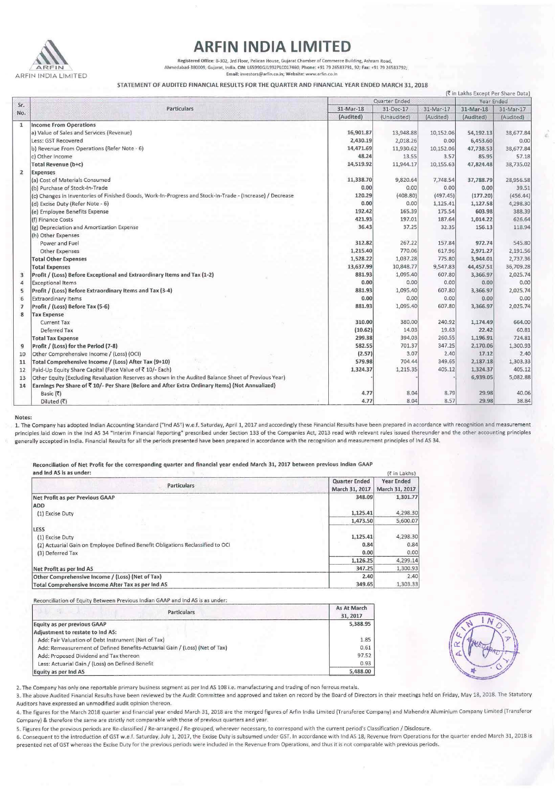

## **ARFIN INDIA LIMITED**<br>Registered Office: 8-302, 3rd Floor, Pelican House, Gujarat Chamber of Commerce Building, Ashram Road,

**Ahmedabad-380009, Gujarat, India, ON: l6S990GJ1992PLC017460; Phone: -+91 79 26583791, 92; Fax: t-9179 26583792; Email: investors@arfin.co.in; Website: www.arfin.co.in** 

STATEMENT OF AUDITED FINANCIAL RESULTS FOR THE QUARTER AND FINANCIAL YEAR ENDED MARCH 31,2018

| (रैं in Lakhs Except Per Share Data) |                                                                                                           |           |                             |           |           |           |
|--------------------------------------|-----------------------------------------------------------------------------------------------------------|-----------|-----------------------------|-----------|-----------|-----------|
| Sr.<br>No.                           | Particulars                                                                                               |           | Quarter Ended<br>Year Ended |           |           |           |
|                                      |                                                                                                           | 31-Mar-18 | 31-Dec-17                   | 31-Mar-17 | 31-Mar-18 | 31-Mar-17 |
|                                      |                                                                                                           | (Audited) | (Unaudited)                 | (Audited) | (Audited) | (Audited) |
| $\mathbf{1}$                         | <b>Income From Operations</b>                                                                             |           |                             |           |           |           |
|                                      | a) Value of Sales and Services (Revenue)                                                                  | 16,901.87 | 13,948.88                   | 10,152.06 | 54,192.13 | 38,677.84 |
|                                      | Less: GST Recovered                                                                                       | 2,430.19  | 2,018.26                    | 0.00      | 6,453.60  | 0.00      |
|                                      | b) Revenue From Operations (Refer Note - 6)                                                               | 14,471.69 | 11,930.62                   | 10,152.06 | 47,738.53 | 38,677.84 |
|                                      | c) Other Income                                                                                           | 48.24     | 13.55                       | 3.57      | 85.95     | 57.18     |
|                                      | Total Revenue (b+c)                                                                                       | 14,519.92 | 11,944.17                   | 10,155.63 | 47,824.48 | 38,735.02 |
| $\overline{2}$                       | <b>Expenses</b>                                                                                           |           |                             |           |           |           |
|                                      | (a) Cost of Materials Consumed                                                                            | 11,338.70 | 9,820.64                    | 7,748.54  | 37,788.79 | 28,956.58 |
|                                      | (b) Purchase of Stock-In-Trade                                                                            | 0.00      | 0.00                        | 0.00      | 0.00      | 39.51     |
|                                      | (c) Changes in Inventories of Finished Goods, Work-In-Progress and Stock-In-Trade - (Increase) / Decrease | 120.29    | (408.80)                    | (497.45)  | (177.20)  | (456.44)  |
|                                      | (d) Excise Duty (Refer Note - 6)                                                                          | 0.00      | 0.00                        | 1,125.41  | 1,127.58  | 4,298.30  |
|                                      | (e) Employee Benefits Expense                                                                             | 192.42    | 165.39                      | 175.54    | 603.98    | 388.39    |
|                                      | (f) Finance Costs                                                                                         | 421.93    | 197.01                      | 187.64    | 1,014.22  | 626.64    |
|                                      | (g) Depreciation and Amortization Expense                                                                 | 36.43     | 37.25                       | 32.35     | 156.13    | 118.94    |
|                                      | (h) Other Expenses                                                                                        |           |                             |           |           |           |
|                                      | Power and Fuel                                                                                            | 312.82    | 267.22                      | 157.84    | 972.74    | 545.80    |
|                                      | Other Expenses                                                                                            | 1,215.40  | 770.06                      | 617.96    | 2,971.27  | 2,191.56  |
|                                      | <b>Total Other Expenses</b>                                                                               | 1,528.22  | 1,037.28                    | 775.80    | 3,944.01  | 2,737.36  |
|                                      | <b>Total Expenses</b>                                                                                     | 13,637.99 | 10,848.77                   | 9,547.83  | 44,457.51 | 36,709.28 |
| 3                                    | Profit / (Loss) Before Exceptional and Extraordinary Items and Tax (1-2)                                  | 881.93    | 1.095.40                    | 607.80    | 3,366.97  | 2,025.74  |
| 4                                    | <b>Exceptional Items</b>                                                                                  | 0.00      | 0.00                        | 0.00      | 0.00      | 0.00      |
| 5                                    | Profit / (Loss) Before Extraordinary Items and Tax (3-4)                                                  | 881.93    | 1,095.40                    | 607.80    | 3,366.97  | 2,025.74  |
| 6                                    | <b>Extraordinary Items</b>                                                                                | 0.00      | 0.00                        | 0.00      | 0.00      | 0.00      |
| $\overline{7}$                       | Profit / (Loss) Before Tax (5-6)                                                                          | 881.93    | 1,095.40                    | 607.80    | 3,366.97  | 2,025.74  |
| 8                                    | <b>Tax Expense</b>                                                                                        |           |                             |           |           |           |
|                                      | <b>Current Tax</b>                                                                                        | 310.00    | 380.00                      | 240.92    | 1,174.49  | 664.00    |
|                                      | Deferred Tax                                                                                              | (10.62)   | 14.03                       | 19.63     | 22.42     | 60.81     |
|                                      | <b>Total Tax Expense</b>                                                                                  | 299.38    | 394.03                      | 260.55    | 1,196.91  | 724.81    |
| 9                                    | Profit / (Loss) for the Period (7-8)                                                                      | 582.55    | 701.37                      | 347.25    | 2,170.06  | 1,300.93  |
| 10                                   | Other Comprehensive Income / (Loss) (OCI)                                                                 | (2.57)    | 3.07                        | 2.40      | 17.12     | 2.40      |
| 11                                   | Total Comprehensive Income / (Loss) After Tax (9+10)                                                      | 579.98    | 704.44                      | 349.65    | 2,187.18  | 1,303.33  |
| 12                                   | Paid-Up Equity Share Capital (Face Value of ₹ 10/- Each)                                                  | 1,324.37  | 1,215.35                    | 405.12    | 1,324.37  | 405.12    |
| 13                                   | Other Equity (Excluding Revaluation Reserves as shown in the Audited Balance Sheet of Previous Year)      |           |                             |           | 6,939.05  | 5,082.88  |
| 14                                   | Earnings Per Share of ₹ 10/- Per Share (Before and After Extra Ordinary Items) (Not Annualized)           |           |                             |           |           |           |
|                                      | Basic (₹)                                                                                                 | 4.77      | 8.04                        | 8.79      | 29.98     | 40.06     |
|                                      | Diluted (₹)                                                                                               | 4.77      | 8.04                        | 8.57      | 29.98     | 38.84     |

## Notes:

1. The Company has adopted Indian Accounting Standard ("Ind AS") w.e.f. Saturday, April 1, 2017 and accordingly these Financial Results have been prepared in accordance with recognition and measurement principles laid down in the Ind AS 34 "Interim Financial Reporting" prescribed under Section 133 of the Companies Act, 2013 read with relevant rules issued thereunder and the other accounting principles **generally accepted in India. Financial Results for all the periods presented have been prepared in accordance with the recognition and measurement principles of Jnd AS 34.** 

Reconciliation of Net Profit for the corresponding quarter and financial year ended March 31, 2017 between previous Indian GAAP

| and Ind AS is as under:                                                        | (₹ in Lakhs)                           |                              |  |
|--------------------------------------------------------------------------------|----------------------------------------|------------------------------|--|
| <b>Particulars</b>                                                             | <b>Quarter Ended</b><br>March 31, 2017 | Year Ended<br>March 31, 2017 |  |
| Net Profit as per Previous GAAP                                                | 348.09                                 | 1,301.77                     |  |
| ADD                                                                            |                                        |                              |  |
| (1) Excise Duty                                                                | 1,125.41                               | 4,298.30                     |  |
|                                                                                | 1,473.50                               | 5,600.07                     |  |
| LESS                                                                           |                                        |                              |  |
| (1) Excise Duty                                                                | 1,125.41                               | 4,298.30                     |  |
| (2) Actuarial Gain on Employee Defined Benefit Obligations Reclassified to OCI | 0.84                                   | 0.84                         |  |
| (3) Deferred Tax                                                               | 0.00                                   | 0.00                         |  |
|                                                                                | 1,126.25                               | 4,299.14                     |  |
| Net Profit as per Ind AS                                                       | 347.25                                 | 1,300.93                     |  |
| Other Comprehensive Income / (Loss) (Net of Tax)                               | 2.40                                   | 2.40                         |  |
| Total Comprehensive Income After Tax as per Ind AS                             | 349.65                                 | 1,303.33                     |  |

**Reconciliation of Equity Between Previous Indian GAAP and lnd AS is as under·** 

| <b>Particulars</b>                                                          | As At March<br>31, 2017 |
|-----------------------------------------------------------------------------|-------------------------|
| Equity as per previous GAAP                                                 | 5,388.95                |
| Adjustment to restate to Ind AS:                                            |                         |
| Add: Fair Valuation of Debt Instrument (Net of Tax)                         | 1.85                    |
| Add: Remeasurement of Defined Benefits-Actuarial Gain / (Loss) (Net of Tax) | 0.61                    |
| Add: Proposed Dividend and Tax thereon                                      | 97.52                   |
| Less: Actuarial Gain / (Loss) on Defined Benefit                            | 0.93                    |
| Equity as per Ind AS                                                        | 5,488.00                |

**2. The Company has only one reportable primary business segment a s per lnd AS 108 i.e. manufacturing and trading of non ferrous metals.** 

**3. The above Audited Financial Results have been reviewed by the Audit Committee and approved and taken on record by the Board of Directors in their meetings held on Friday, May 18, 2018. The Statutory Auditors have expressed an unmodified audit opinion thereon.** 

4. The figures for the March 2018 quarter and financial year ended March 31, 2018 are the merged figures of Arfin India Limited (Transferee Company) and Mahendra Aluminium Company Limited (Transferor **Company) & therefore the same are strictly not comparable with those of previous quarters and year.** 

5. Figures for the previous periods are Re-classified / Re-arranged / Re-grouped, wherever necessary, to correspond with the current period's Classification / Disclosure.

6. Consequent to the introduction of GST w.e.f. Saturday, July 1, 2017, the Excise Duty is subsumed under GST. In accordance with Ind AS 18, Revenue from Operations for the quarter ended March 31, 2018 is presented net of GST whereas the Excise Duty for the previous periods were included in the Revenue from Operations, and thus it is not comparable with previous periods.